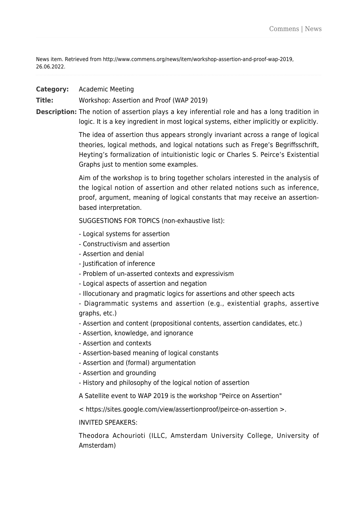News item. Retrieved from http://www.commens.org/news/item/workshop-assertion-and-proof-wap-2019, 26.06.2022.

# **Category:** Academic Meeting

**Title:** Workshop: Assertion and Proof (WAP 2019)

**Description:** The notion of assertion plays a key inferential role and has a long tradition in logic. It is a key ingredient in most logical systems, either implicitly or explicitly.

> The idea of assertion thus appears strongly invariant across a range of logical theories, logical methods, and logical notations such as Frege's Begriffsschrift, Heyting's formalization of intuitionistic logic or Charles S. Peirce's Existential Graphs just to mention some examples.

> Aim of the workshop is to bring together scholars interested in the analysis of the logical notion of assertion and other related notions such as inference, proof, argument, meaning of logical constants that may receive an assertionbased interpretation.

SUGGESTIONS FOR TOPICS (non-exhaustive list):

- Logical systems for assertion
- Constructivism and assertion
- Assertion and denial
- Justification of inference
- Problem of un-asserted contexts and expressivism
- Logical aspects of assertion and negation
- Illocutionary and pragmatic logics for assertions and other speech acts
- Diagrammatic systems and assertion (e.g., existential graphs, assertive graphs, etc.)
- Assertion and content (propositional contents, assertion candidates, etc.)
- Assertion, knowledge, and ignorance
- Assertion and contexts
- Assertion-based meaning of logical constants
- Assertion and (formal) argumentation
- Assertion and grounding
- History and philosophy of the logical notion of assertion
- A Satellite event to WAP 2019 is the workshop "Peirce on Assertion"
- < <https://sites.google.com/view/assertionproof/peirce-on-assertion> >.

## INVITED SPEAKERS:

Theodora Achourioti (ILLC, Amsterdam University College, University of Amsterdam)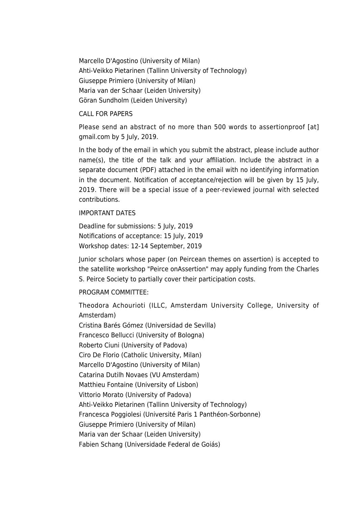Marcello D'Agostino (University of Milan) Ahti-Veikko Pietarinen (Tallinn University of Technology) Giuseppe Primiero (University of Milan) Maria van der Schaar (Leiden University) Göran Sundholm (Leiden University)

## CALL FOR PAPERS

Please send an abstract of no more than 500 words to assertionproof [at] gmail.com by 5 July, 2019.

In the body of the email in which you submit the abstract, please include author name(s), the title of the talk and your affiliation. Include the abstract in a separate document (PDF) attached in the email with no identifying information in the document. Notification of acceptance/rejection will be given by 15 July, 2019. There will be a special issue of a peer-reviewed journal with selected contributions.

### IMPORTANT DATES

Deadline for submissions: 5 July, 2019 Notifications of acceptance: 15 July, 2019 Workshop dates: 12-14 September, 2019

Junior scholars whose paper (on Peircean themes on assertion) is accepted to the satellite workshop "Peirce onAssertion" may apply funding from the Charles S. Peirce Society to partially cover their participation costs.

## PROGRAM COMMITTEE:

Theodora Achourioti (ILLC, Amsterdam University College, University of Amsterdam) Cristina Barés Gómez (Universidad de Sevilla)

Francesco Bellucci (University of Bologna) Roberto Ciuni (University of Padova) Ciro De Florio (Catholic University, Milan) Marcello D'Agostino (University of Milan) Catarina Dutilh Novaes (VU Amsterdam) Matthieu Fontaine (University of Lisbon) Vittorio Morato (University of Padova) Ahti-Veikko Pietarinen (Tallinn University of Technology) Francesca Poggiolesi (Université Paris 1 Panthéon-Sorbonne) Giuseppe Primiero (University of Milan) Maria van der Schaar (Leiden University) Fabien Schang (Universidade Federal de Goiás)